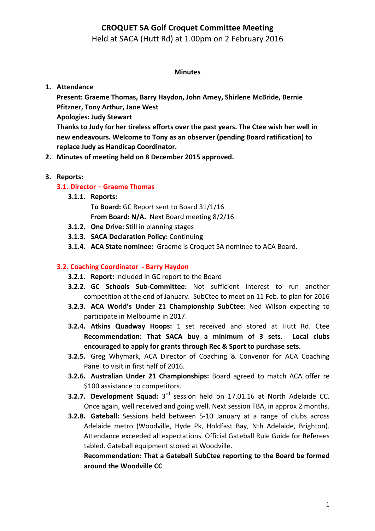## **CROQUET SA Golf Croquet Committee Meeting**

## Held at SACA (Hutt Rd) at 1.00pm on 2 February 2016

#### **Minutes**

### **1. Attendance**

Present: Graeme Thomas, Barry Haydon, John Arney, Shirlene McBride, Bernie **Pfitzner, Tony Arthur, Jane West Apologies: Judy Stewart** Thanks to Judy for her tireless efforts over the past years. The Ctee wish her well in new endeavours. Welcome to Tony as an observer (pending Board ratification) to **replace Judy as Handicap Coordinator.**

2. Minutes of meeting held on 8 December 2015 approved.

#### **3. Reports:**

### **3.1. Director – Graeme Thomas**

**3.1.1. Reports:**

To Board: GC Report sent to Board 31/1/16

- **From Board: N/A.** Next Board meeting 8/2/16
- **3.1.2. One Drive:** Still in planning stages
- **3.1.3. SACA Declaration Policy:** Continuin**g**
- **3.1.4. ACA State nominee:** Graeme is Croquet SA nominee to ACA Board.

### **3.2. Coaching Coordinator** - Barry Haydon

- **3.2.1. Report:** Included in GC report to the Board
- **3.2.2. GC Schools Sub-Committee:** Not sufficient interest to run another competition at the end of January. SubCtee to meet on 11 Feb. to plan for 2016
- **3.2.3. ACA World's Under 21 Championship SubCtee:** Ned Wilson expecting to participate in Melbourne in 2017.
- **3.2.4. Atkins Quadway Hoops:** 1 set received and stored at Hutt Rd. Ctee **Recommendation: That SACA buy a minimum of 3 sets. Local clubs** encouraged to apply for grants through Rec & Sport to purchase sets.
- **3.2.5.** Greg Whymark, ACA Director of Coaching & Convenor for ACA Coaching Panel to visit in first half of 2016.
- **3.2.6.** Australian Under 21 Championships: Board agreed to match ACA offer re \$100 assistance to competitors.
- **3.2.7. Development Squad:** 3<sup>rd</sup> session held on 17.01.16 at North Adelaide CC. Once again, well received and going well. Next session TBA, in approx 2 months.
- **3.2.8.** Gateball: Sessions held between 5-10 January at a range of clubs across Adelaide metro (Woodville, Hyde Pk, Holdfast Bay, Nth Adelaide, Brighton). Attendance exceeded all expectations. Official Gateball Rule Guide for Referees tabled. Gateball equipment stored at Woodville.

Recommendation: That a Gateball SubCtee reporting to the Board be formed around the Woodville CC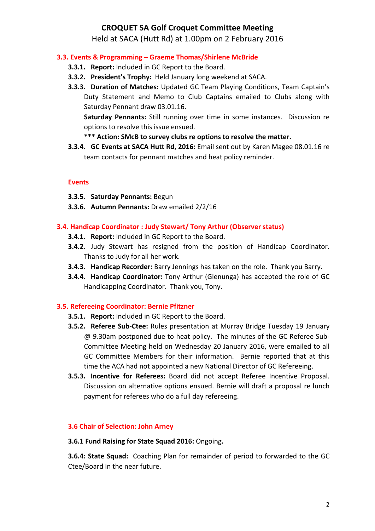# **CROQUET SA Golf Croquet Committee Meeting**

Held at SACA (Hutt Rd) at 1.00pm on 2 February 2016

### **3.3. Events & Programming – Graeme Thomas/Shirlene McBride**

- **3.3.1. Report:** Included in GC Report to the Board.
- **3.3.2. President's Trophy:** Held January long weekend at SACA.
- **3.3.3. Duration of Matches:** Updated GC Team Playing Conditions, Team Captain's Duty Statement and Memo to Club Captains emailed to Clubs along with Saturday Pennant draw 03.01.16.

**Saturday Pennants:** Still running over time in some instances. Discussion re options to resolve this issue ensued.

## \*\*\* Action: SMcB to survey clubs re options to resolve the matter.

**3.3.4. GC Events at SACA Hutt Rd, 2016:** Email sent out by Karen Magee 08.01.16 re team contacts for pennant matches and heat policy reminder.

### **Events**

- **3.3.5. Saturday Pennants: Begun**
- **3.3.6.** Autumn Pennants: Draw emailed 2/2/16

## **3.4. Handicap Coordinator : Judy Stewart/ Tony Arthur (Observer status)**

- **3.4.1. Report:** Included in GC Report to the Board.
- **3.4.2.** Judy Stewart has resigned from the position of Handicap Coordinator. Thanks to Judy for all her work.
- **3.4.3. Handicap Recorder:** Barry Jennings has taken on the role. Thank you Barry.
- **3.4.4. Handicap Coordinator:** Tony Arthur (Glenunga) has accepted the role of GC Handicapping Coordinator. Thank you, Tony.

### **3.5. Refereeing Coordinator: Bernie Pfitzner**

- **3.5.1. Report:** Included in GC Report to the Board.
- **3.5.2. Referee Sub-Ctee:** Rules presentation at Murray Bridge Tuesday 19 January @ 9.30am postponed due to heat policy. The minutes of the GC Referee Sub-Committee Meeting held on Wednesday 20 January 2016, were emailed to all GC Committee Members for their information. Bernie reported that at this time the ACA had not appointed a new National Director of GC Refereeing.
- **3.5.3. Incentive for Referees:** Board did not accept Referee Incentive Proposal. Discussion on alternative options ensued. Bernie will draft a proposal re lunch payment for referees who do a full day refereeing.

### **3.6 Chair of Selection: John Arney**

#### **3.6.1 Fund Raising for State Squad 2016:** Ongoing**.**

**3.6.4: State Squad:** Coaching Plan for remainder of period to forwarded to the GC Ctee/Board in the near future.